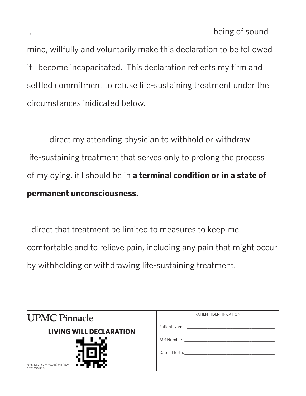mind, willfully and voluntarily make this declaration to be followed if I become incapacitated. This declaration reflects my firm and settled commitment to refuse life-sustaining treatment under the circumstances inidicated below.

I direct my attending physician to withhold or withdraw life-sustaining treatment that serves only to prolong the process of my dying, if I should be in **a terminal condition or in a state of permanent unconsciousness.**

I direct that treatment be limited to measures to keep me comfortable and to relieve pain, including any pain that might occur by withholding or withdrawing life-sustaining treatment.

| <b>UPMC Pinnacle</b>                                  | PATIENT IDENTIFICATION                |  |
|-------------------------------------------------------|---------------------------------------|--|
| <b>LIVING WILL DECLARATION</b>                        |                                       |  |
|                                                       | MR Number: Wallet the Manufacturer    |  |
| Form 4250-169-VI (02/18) MR (InD)<br>Aztec Barcode 10 | Date of Birth: The Contract of Birth: |  |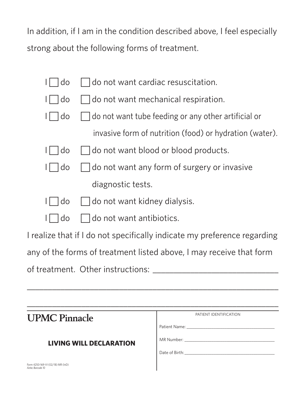In addition, if I am in the condition described above, I feel especially strong about the following forms of treatment.

|  | I do cont want cardiac resuscitation. |  |  |
|--|---------------------------------------|--|--|
|--|---------------------------------------|--|--|

 $I \cap$  do  $\cap$  do not want mechanical respiration.

- $I \cap$  do  $\cap$  do not want tube feeding or any other artificial or invasive form of nutrition (food) or hydration (water).
- $I \cap$  do  $\cap$  do not want blood or blood products.
- $I \cap$  do  $\cap$  do not want any form of surgery or invasive diagnostic tests.
- $1$   $\vert$   $\vert$   $\vert$   $\vert$   $\vert$  do not want kidney dialysis.
- $I \cap$  do  $\cap$  do not want antibiotics.

I realize that if I do not specifically indicate my preference regarding

any of the forms of treatment listed above, I may receive that form

\_\_\_\_\_\_\_\_\_\_\_\_\_\_\_\_\_\_\_\_\_\_\_\_\_\_\_\_\_\_\_\_\_\_\_\_\_\_\_\_\_\_\_\_\_\_\_\_\_\_\_\_\_\_\_\_\_\_\_\_

of treatment. Other instructions: \_\_\_\_\_\_\_\_\_\_\_\_\_\_\_\_\_\_\_\_\_\_\_\_\_\_\_\_\_\_

| <b>UPMC Pinnacle</b>                                  | PATIENT IDENTIFICATION                |
|-------------------------------------------------------|---------------------------------------|
|                                                       |                                       |
| <b>LIVING WILL DECLARATION</b>                        |                                       |
|                                                       | Date of Birth: The Contract of Birth: |
| Form 4250-169-VI (02/18) MR (InD)<br>Aztec Barcode 10 |                                       |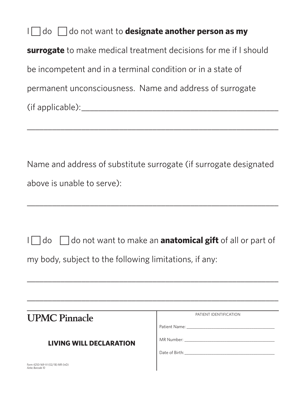I do  $\Box$  do not want to **designate another person as my surrogate** to make medical treatment decisions for me if I should be incompetent and in a terminal condition or in a state of permanent unconsciousness. Name and address of surrogate (if applicable):\_\_\_\_\_\_\_\_\_\_\_\_\_\_\_\_\_\_\_\_\_\_\_\_\_\_\_\_\_\_\_\_\_\_\_\_\_\_\_\_\_\_\_\_\_\_\_

Name and address of substitute surrogate (if surrogate designated above is unable to serve):

\_\_\_\_\_\_\_\_\_\_\_\_\_\_\_\_\_\_\_\_\_\_\_\_\_\_\_\_\_\_\_\_\_\_\_\_\_\_\_\_\_\_\_\_\_\_\_\_\_\_\_\_\_\_\_\_\_\_\_\_

|  | I do do ot want to make an <b>anatomical gift</b> of all or part of |  |  |  |
|--|---------------------------------------------------------------------|--|--|--|
|--|---------------------------------------------------------------------|--|--|--|

\_\_\_\_\_\_\_\_\_\_\_\_\_\_\_\_\_\_\_\_\_\_\_\_\_\_\_\_\_\_\_\_\_\_\_\_\_\_\_\_\_\_\_\_\_\_\_\_\_\_\_\_\_\_\_\_\_\_\_\_

\_\_\_\_\_\_\_\_\_\_\_\_\_\_\_\_\_\_\_\_\_\_\_\_\_\_\_\_\_\_\_\_\_\_\_\_\_\_\_\_\_\_\_\_\_\_\_\_\_\_\_\_\_\_\_\_\_\_\_\_

my body, subject to the following limitations, if any:

| <b>UPMC Pinnacle</b>                                  | PATIENT IDENTIFICATION                                                                                                                                                                                                         |  |
|-------------------------------------------------------|--------------------------------------------------------------------------------------------------------------------------------------------------------------------------------------------------------------------------------|--|
|                                                       | Patient Name: The Contract of the Contract of the Contract of the Contract of the Contract of the Contract of the Contract of the Contract of the Contract of the Contract of the Contract of the Contract of the Contract of  |  |
| <b>LIVING WILL DECLARATION</b>                        | MR Number: The contract of the contract of the contract of the contract of the contract of the contract of the contract of the contract of the contract of the contract of the contract of the contract of the contract of the |  |
|                                                       | Date of Birth:                                                                                                                                                                                                                 |  |
| Form 4250-169-VI (02/18) MR (InD)<br>Aztec Barcode 10 |                                                                                                                                                                                                                                |  |